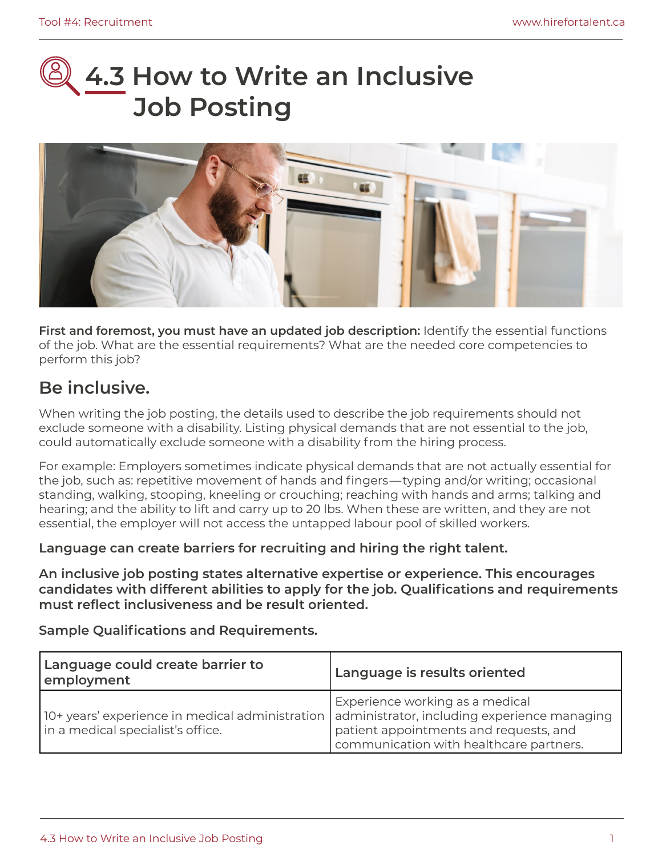# **4.3 How to Write an Inclusive Job Posting**



**First and foremost, you must have an updated job description:** Identify the essential functions of the job. What are the essential requirements? What are the needed core competencies to perform this job?

### **Be inclusive.**

When writing the job posting, the details used to describe the job requirements should not exclude someone with a disability. Listing physical demands that are not essential to the job, could automatically exclude someone with a disability from the hiring process.

For example: Employers sometimes indicate physical demands that are not actually essential for the job, such as: repetitive movement of hands and fingers — typing and/or writing; occasional standing, walking, stooping, kneeling or crouching; reaching with hands and arms; talking and hearing; and the ability to lift and carry up to 20 lbs. When these are written, and they are not essential, the employer will not access the untapped labour pool of skilled workers.

**Language can create barriers for recruiting and hiring the right talent.** 

**An inclusive job posting states alternative expertise or experience. This encourages candidates with different abilities to apply for the job. Qualifications and requirements must reflect inclusiveness and be result oriented.**

**Sample Qualifications and Requirements.**

| Language could create barrier to<br>employment                                                                                      | Language is results oriented                                                                                         |
|-------------------------------------------------------------------------------------------------------------------------------------|----------------------------------------------------------------------------------------------------------------------|
| 10+ years' experience in medical administration   administrator, including experience managing<br>in a medical specialist's office. | Experience working as a medical<br>patient appointments and requests, and<br>communication with healthcare partners. |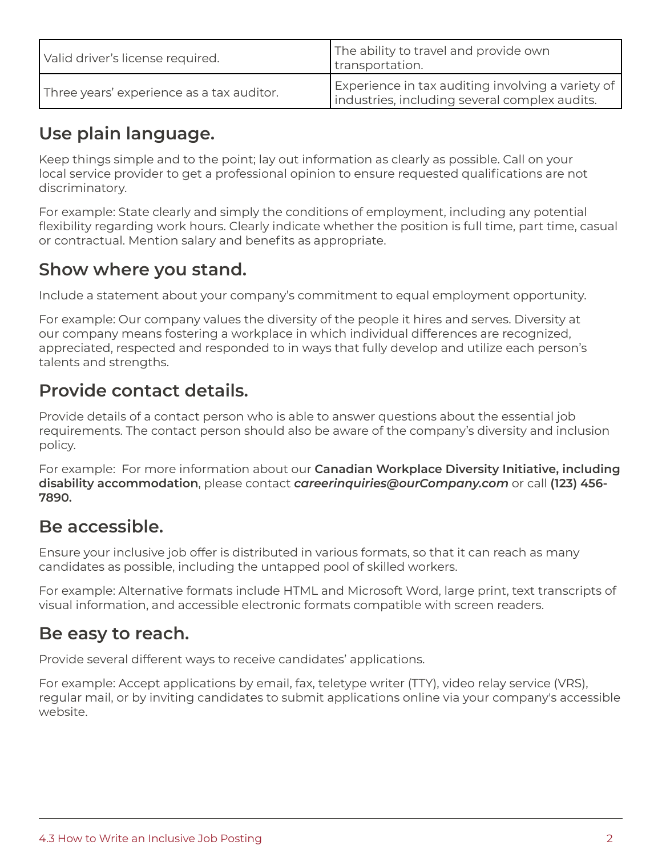| Valid driver's license required.          | The ability to travel and provide own<br>transportation.                                           |
|-------------------------------------------|----------------------------------------------------------------------------------------------------|
| Three years' experience as a tax auditor. | Experience in tax auditing involving a variety of<br>industries, including several complex audits. |

### **Use plain language.**

Keep things simple and to the point; lay out information as clearly as possible. Call on your local service provider to get a professional opinion to ensure requested qualifications are not discriminatory.

For example: State clearly and simply the conditions of employment, including any potential flexibility regarding work hours. Clearly indicate whether the position is full time, part time, casual or contractual. Mention salary and benefits as appropriate.

#### **Show where you stand.**

Include a statement about your company's commitment to equal employment opportunity.

For example: Our company values the diversity of the people it hires and serves. Diversity at our company means fostering a workplace in which individual differences are recognized, appreciated, respected and responded to in ways that fully develop and utilize each person's talents and strengths.

## **Provide contact details.**

Provide details of a contact person who is able to answer questions about the essential job requirements. The contact person should also be aware of the company's diversity and inclusion policy.

For example: For more information about our **Canadian Workplace Diversity Initiative, including disability accommodation**, please contact *careerinquiries@ourCompany.com* or call **(123) 456- 7890.** 

### **Be accessible.**

Ensure your inclusive job offer is distributed in various formats, so that it can reach as many candidates as possible, including the untapped pool of skilled workers.

For example: Alternative formats include HTML and Microsoft Word, large print, text transcripts of visual information, and accessible electronic formats compatible with screen readers.

### **Be easy to reach.**

Provide several different ways to receive candidates' applications.

For example: Accept applications by email, fax, teletype writer (TTY), video relay service (VRS), regular mail, or by inviting candidates to submit applications online via your company's accessible website.